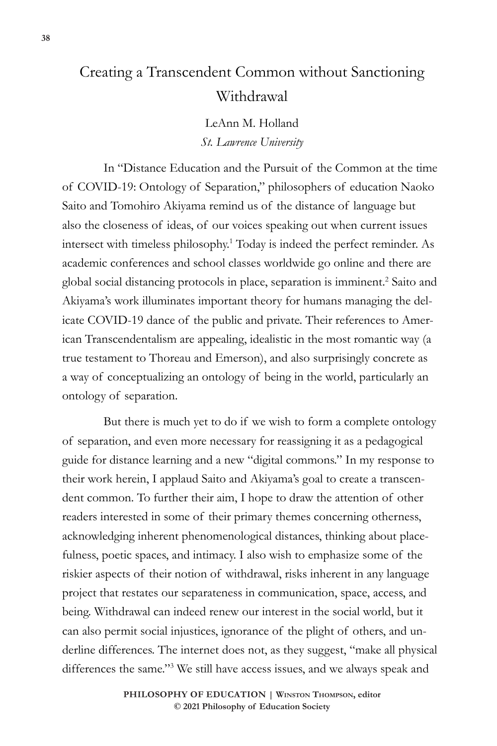## Creating a Transcendent Common without Sanctioning Withdrawal

LeAnn M. Holland *St. Lawrence University*

In "Distance Education and the Pursuit of the Common at the time of COVID-19: Ontology of Separation," philosophers of education Naoko Saito and Tomohiro Akiyama remind us of the distance of language but also the closeness of ideas, of our voices speaking out when current issues intersect with timeless philosophy.1 Today is indeed the perfect reminder. As academic conferences and school classes worldwide go online and there are global social distancing protocols in place, separation is imminent.<sup>2</sup> Saito and Akiyama's work illuminates important theory for humans managing the delicate COVID-19 dance of the public and private. Their references to American Transcendentalism are appealing, idealistic in the most romantic way (a true testament to Thoreau and Emerson), and also surprisingly concrete as a way of conceptualizing an ontology of being in the world, particularly an ontology of separation.

But there is much yet to do if we wish to form a complete ontology of separation, and even more necessary for reassigning it as a pedagogical guide for distance learning and a new "digital commons." In my response to their work herein, I applaud Saito and Akiyama's goal to create a transcendent common. To further their aim, I hope to draw the attention of other readers interested in some of their primary themes concerning otherness, acknowledging inherent phenomenological distances, thinking about placefulness, poetic spaces, and intimacy. I also wish to emphasize some of the riskier aspects of their notion of withdrawal, risks inherent in any language project that restates our separateness in communication, space, access, and being. Withdrawal can indeed renew our interest in the social world, but it can also permit social injustices, ignorance of the plight of others, and underline differences. The internet does not, as they suggest, "make all physical differences the same."3 We still have access issues, and we always speak and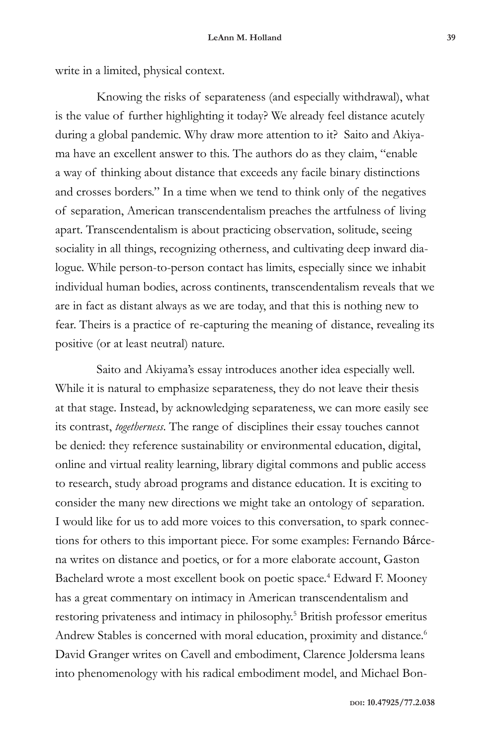write in a limited, physical context.

Knowing the risks of separateness (and especially withdrawal), what is the value of further highlighting it today? We already feel distance acutely during a global pandemic. Why draw more attention to it? Saito and Akiyama have an excellent answer to this. The authors do as they claim, "enable a way of thinking about distance that exceeds any facile binary distinctions and crosses borders." In a time when we tend to think only of the negatives of separation, American transcendentalism preaches the artfulness of living apart. Transcendentalism is about practicing observation, solitude, seeing sociality in all things, recognizing otherness, and cultivating deep inward dialogue. While person-to-person contact has limits, especially since we inhabit individual human bodies, across continents, transcendentalism reveals that we are in fact as distant always as we are today, and that this is nothing new to fear. Theirs is a practice of re-capturing the meaning of distance, revealing its positive (or at least neutral) nature.

Saito and Akiyama's essay introduces another idea especially well. While it is natural to emphasize separateness, they do not leave their thesis at that stage. Instead, by acknowledging separateness, we can more easily see its contrast, *togetherness*. The range of disciplines their essay touches cannot be denied: they reference sustainability or environmental education, digital, online and virtual reality learning, library digital commons and public access to research, study abroad programs and distance education. It is exciting to consider the many new directions we might take an ontology of separation. I would like for us to add more voices to this conversation, to spark connections for others to this important piece. For some examples: Fernando Bárcena writes on distance and poetics, or for a more elaborate account, Gaston Bachelard wrote a most excellent book on poetic space.<sup>4</sup> Edward F. Mooney has a great commentary on intimacy in American transcendentalism and restoring privateness and intimacy in philosophy.<sup>5</sup> British professor emeritus Andrew Stables is concerned with moral education, proximity and distance.<sup>6</sup> David Granger writes on Cavell and embodiment, Clarence Joldersma leans into phenomenology with his radical embodiment model, and Michael Bon-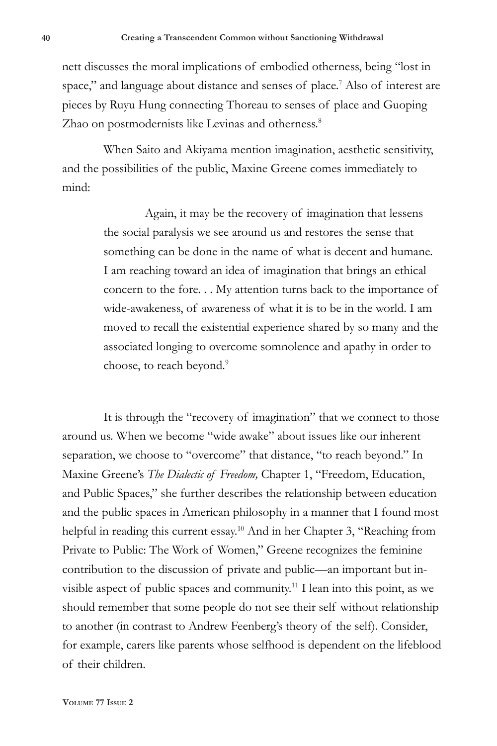nett discusses the moral implications of embodied otherness, being "lost in space," and language about distance and senses of place.<sup>7</sup> Also of interest are pieces by Ruyu Hung connecting Thoreau to senses of place and Guoping Zhao on postmodernists like Levinas and otherness.<sup>8</sup>

When Saito and Akiyama mention imagination, aesthetic sensitivity, and the possibilities of the public, Maxine Greene comes immediately to mind:

> Again, it may be the recovery of imagination that lessens the social paralysis we see around us and restores the sense that something can be done in the name of what is decent and humane. I am reaching toward an idea of imagination that brings an ethical concern to the fore. . . My attention turns back to the importance of wide-awakeness, of awareness of what it is to be in the world. I am moved to recall the existential experience shared by so many and the associated longing to overcome somnolence and apathy in order to choose, to reach beyond.<sup>9</sup>

It is through the "recovery of imagination" that we connect to those around us. When we become "wide awake" about issues like our inherent separation, we choose to "overcome" that distance, "to reach beyond." In Maxine Greene's *The Dialectic of Freedom,* Chapter 1, "Freedom, Education, and Public Spaces," she further describes the relationship between education and the public spaces in American philosophy in a manner that I found most helpful in reading this current essay.<sup>10</sup> And in her Chapter 3, "Reaching from Private to Public: The Work of Women," Greene recognizes the feminine contribution to the discussion of private and public—an important but invisible aspect of public spaces and community.<sup>11</sup> I lean into this point, as we should remember that some people do not see their self without relationship to another (in contrast to Andrew Feenberg's theory of the self). Consider, for example, carers like parents whose selfhood is dependent on the lifeblood of their children.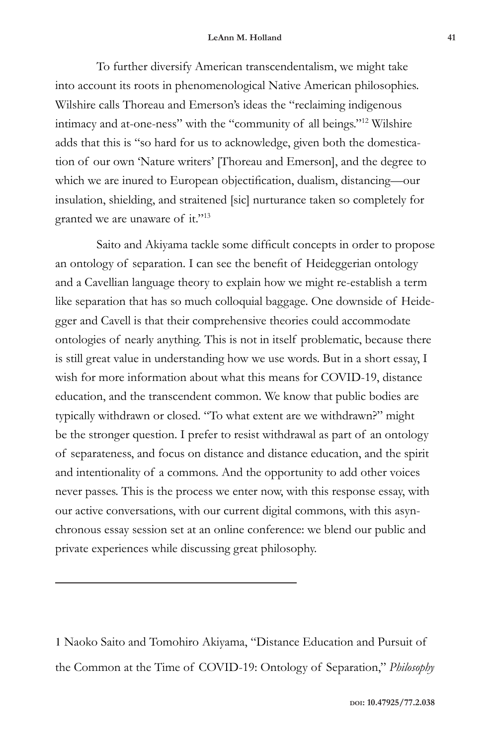To further diversify American transcendentalism, we might take into account its roots in phenomenological Native American philosophies. Wilshire calls Thoreau and Emerson's ideas the "reclaiming indigenous intimacy and at-one-ness" with the "community of all beings."12 Wilshire adds that this is "so hard for us to acknowledge, given both the domestication of our own 'Nature writers' [Thoreau and Emerson], and the degree to which we are inured to European objectification, dualism, distancing—our insulation, shielding, and straitened [sic] nurturance taken so completely for granted we are unaware of it."13

Saito and Akiyama tackle some difficult concepts in order to propose an ontology of separation. I can see the benefit of Heideggerian ontology and a Cavellian language theory to explain how we might re-establish a term like separation that has so much colloquial baggage. One downside of Heidegger and Cavell is that their comprehensive theories could accommodate ontologies of nearly anything. This is not in itself problematic, because there is still great value in understanding how we use words. But in a short essay, I wish for more information about what this means for COVID-19, distance education, and the transcendent common. We know that public bodies are typically withdrawn or closed. "To what extent are we withdrawn?" might be the stronger question. I prefer to resist withdrawal as part of an ontology of separateness, and focus on distance and distance education, and the spirit and intentionality of a commons. And the opportunity to add other voices never passes. This is the process we enter now, with this response essay, with our active conversations, with our current digital commons, with this asynchronous essay session set at an online conference: we blend our public and private experiences while discussing great philosophy.

1 Naoko Saito and Tomohiro Akiyama, "Distance Education and Pursuit of the Common at the Time of COVID-19: Ontology of Separation," *Philosophy*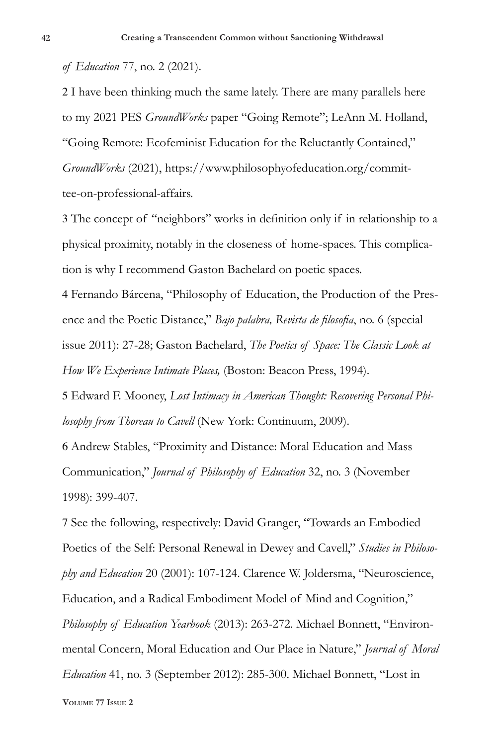*of Education* 77, no. 2 (2021).

2 I have been thinking much the same lately. There are many parallels here to my 2021 PES *GroundWorks* paper "Going Remote"; LeAnn M. Holland, "Going Remote: Ecofeminist Education for the Reluctantly Contained," *GroundWorks* (2021), https://www.philosophyofeducation.org/committee-on-professional-affairs.

3 The concept of "neighbors" works in definition only if in relationship to a physical proximity, notably in the closeness of home-spaces. This complication is why I recommend Gaston Bachelard on poetic spaces.

4 Fernando Bárcena, "Philosophy of Education, the Production of the Presence and the Poetic Distance," *Bajo palabra, Revista de filosofia*, no. 6 (special issue 2011): 27-28; Gaston Bachelard, *The Poetics of Space: The Classic Look at How We Experience Intimate Places,* (Boston: Beacon Press, 1994).

5 Edward F. Mooney, *Lost Intimacy in American Thought: Recovering Personal Philosophy from Thoreau to Cavell* (New York: Continuum, 2009).

6 Andrew Stables, "Proximity and Distance: Moral Education and Mass Communication," *Journal of Philosophy of Education* 32, no. 3 (November 1998): 399-407.

7 See the following, respectively: David Granger, "Towards an Embodied Poetics of the Self: Personal Renewal in Dewey and Cavell," *Studies in Philosophy and Education* 20 (2001): 107-124. Clarence W. Joldersma, "Neuroscience, Education, and a Radical Embodiment Model of Mind and Cognition," *Philosophy of Education Yearbook* (2013): 263-272. Michael Bonnett, "Environmental Concern, Moral Education and Our Place in Nature," *Journal of Moral Education* 41, no. 3 (September 2012): 285-300. Michael Bonnett, "Lost in